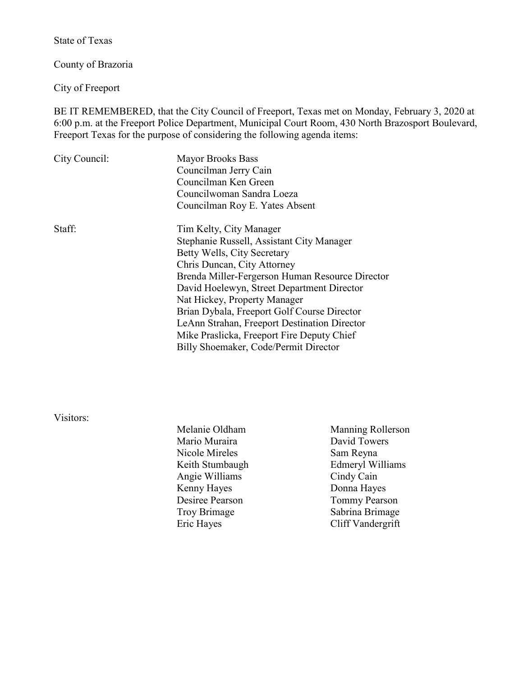State of Texas

County of Brazoria

City of Freeport

BE IT REMEMBERED, that the City Council of Freeport, Texas met on Monday, February 3, 2020 at 6:00 p.m. at the Freeport Police Department, Municipal Court Room, 430 North Brazosport Boulevard, Freeport Texas for the purpose of considering the following agenda items:

| City Council: | <b>Mayor Brooks Bass</b>                        |  |
|---------------|-------------------------------------------------|--|
|               | Councilman Jerry Cain                           |  |
|               | Councilman Ken Green                            |  |
|               | Councilwoman Sandra Loeza                       |  |
|               | Councilman Roy E. Yates Absent                  |  |
| Staff:        | Tim Kelty, City Manager                         |  |
|               | Stephanie Russell, Assistant City Manager       |  |
|               | Betty Wells, City Secretary                     |  |
|               | Chris Duncan, City Attorney                     |  |
|               | Brenda Miller-Fergerson Human Resource Director |  |
|               | David Hoelewyn, Street Department Director      |  |
|               | Nat Hickey, Property Manager                    |  |
|               | Brian Dybala, Freeport Golf Course Director     |  |
|               | LeAnn Strahan, Freeport Destination Director    |  |
|               | Mike Praslicka, Freeport Fire Deputy Chief      |  |
|               | Billy Shoemaker, Code/Permit Director           |  |
|               |                                                 |  |

Visitors:

| Melanie Oldham  | Manning Rollerson    |
|-----------------|----------------------|
| Mario Muraira   | David Towers         |
| Nicole Mireles  | Sam Reyna            |
| Keith Stumbaugh | Edmeryl Williams     |
| Angie Williams  | Cindy Cain           |
| Kenny Hayes     | Donna Hayes          |
| Desiree Pearson | <b>Tommy Pearson</b> |
| Troy Brimage    | Sabrina Brimage      |
| Eric Hayes      | Cliff Vandergrift    |
|                 |                      |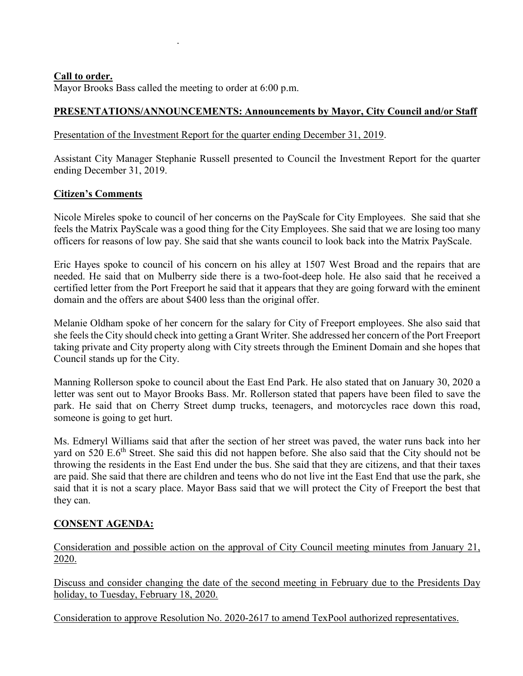### **Call to order.**

Mayor Brooks Bass called the meeting to order at 6:00 p.m.

.

## **PRESENTATIONS/ANNOUNCEMENTS: Announcements by Mayor, City Council and/or Staff**

### Presentation of the Investment Report for the quarter ending December 31, 2019.

Assistant City Manager Stephanie Russell presented to Council the Investment Report for the quarter ending December 31, 2019.

### **Citizen's Comments**

Nicole Mireles spoke to council of her concerns on the PayScale for City Employees. She said that she feels the Matrix PayScale was a good thing for the City Employees. She said that we are losing too many officers for reasons of low pay. She said that she wants council to look back into the Matrix PayScale.

Eric Hayes spoke to council of his concern on his alley at 1507 West Broad and the repairs that are needed. He said that on Mulberry side there is a two-foot-deep hole. He also said that he received a certified letter from the Port Freeport he said that it appears that they are going forward with the eminent domain and the offers are about \$400 less than the original offer.

Melanie Oldham spoke of her concern for the salary for City of Freeport employees. She also said that she feels the City should check into getting a Grant Writer. She addressed her concern of the Port Freeport taking private and City property along with City streets through the Eminent Domain and she hopes that Council stands up for the City.

Manning Rollerson spoke to council about the East End Park. He also stated that on January 30, 2020 a letter was sent out to Mayor Brooks Bass. Mr. Rollerson stated that papers have been filed to save the park. He said that on Cherry Street dump trucks, teenagers, and motorcycles race down this road, someone is going to get hurt.

Ms. Edmeryl Williams said that after the section of her street was paved, the water runs back into her vard on 520 E.6<sup>th</sup> Street. She said this did not happen before. She also said that the City should not be throwing the residents in the East End under the bus. She said that they are citizens, and that their taxes are paid. She said that there are children and teens who do not live int the East End that use the park, she said that it is not a scary place. Mayor Bass said that we will protect the City of Freeport the best that they can.

# **CONSENT AGENDA:**

Consideration and possible action on the approval of City Council meeting minutes from January 21, 2020.

Discuss and consider changing the date of the second meeting in February due to the Presidents Day holiday, to Tuesday, February 18, 2020.

Consideration to approve Resolution No. 2020-2617 to amend TexPool authorized representatives.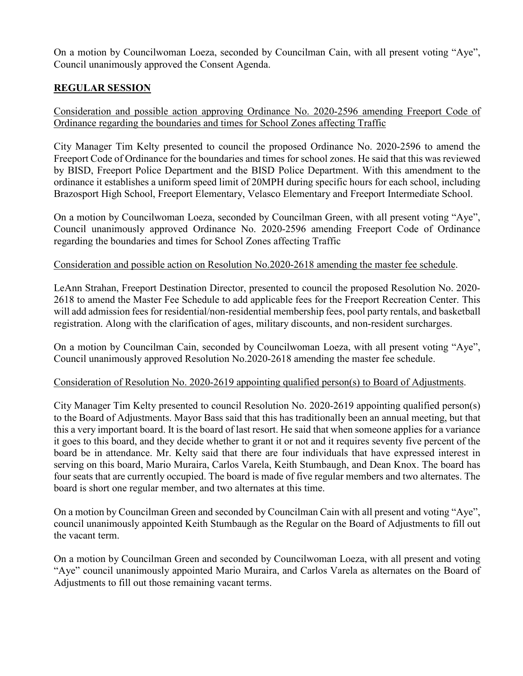On a motion by Councilwoman Loeza, seconded by Councilman Cain, with all present voting "Aye", Council unanimously approved the Consent Agenda.

# **REGULAR SESSION**

Consideration and possible action approving Ordinance No. 2020-2596 amending Freeport Code of Ordinance regarding the boundaries and times for School Zones affecting Traffic

City Manager Tim Kelty presented to council the proposed Ordinance No. 2020-2596 to amend the Freeport Code of Ordinance for the boundaries and times for school zones. He said that this was reviewed by BISD, Freeport Police Department and the BISD Police Department. With this amendment to the ordinance it establishes a uniform speed limit of 20MPH during specific hours for each school, including Brazosport High School, Freeport Elementary, Velasco Elementary and Freeport Intermediate School.

On a motion by Councilwoman Loeza, seconded by Councilman Green, with all present voting "Aye", Council unanimously approved Ordinance No. 2020-2596 amending Freeport Code of Ordinance regarding the boundaries and times for School Zones affecting Traffic

#### Consideration and possible action on Resolution No.2020-2618 amending the master fee schedule.

LeAnn Strahan, Freeport Destination Director, presented to council the proposed Resolution No. 2020- 2618 to amend the Master Fee Schedule to add applicable fees for the Freeport Recreation Center. This will add admission fees for residential/non-residential membership fees, pool party rentals, and basketball registration. Along with the clarification of ages, military discounts, and non-resident surcharges.

On a motion by Councilman Cain, seconded by Councilwoman Loeza, with all present voting "Aye", Council unanimously approved Resolution No.2020-2618 amending the master fee schedule.

#### Consideration of Resolution No. 2020-2619 appointing qualified person(s) to Board of Adjustments.

City Manager Tim Kelty presented to council Resolution No. 2020-2619 appointing qualified person(s) to the Board of Adjustments. Mayor Bass said that this has traditionally been an annual meeting, but that this a very important board. It is the board of last resort. He said that when someone applies for a variance it goes to this board, and they decide whether to grant it or not and it requires seventy five percent of the board be in attendance. Mr. Kelty said that there are four individuals that have expressed interest in serving on this board, Mario Muraira, Carlos Varela, Keith Stumbaugh, and Dean Knox. The board has four seats that are currently occupied. The board is made of five regular members and two alternates. The board is short one regular member, and two alternates at this time.

On a motion by Councilman Green and seconded by Councilman Cain with all present and voting "Aye", council unanimously appointed Keith Stumbaugh as the Regular on the Board of Adjustments to fill out the vacant term.

On a motion by Councilman Green and seconded by Councilwoman Loeza, with all present and voting "Aye" council unanimously appointed Mario Muraira, and Carlos Varela as alternates on the Board of Adjustments to fill out those remaining vacant terms.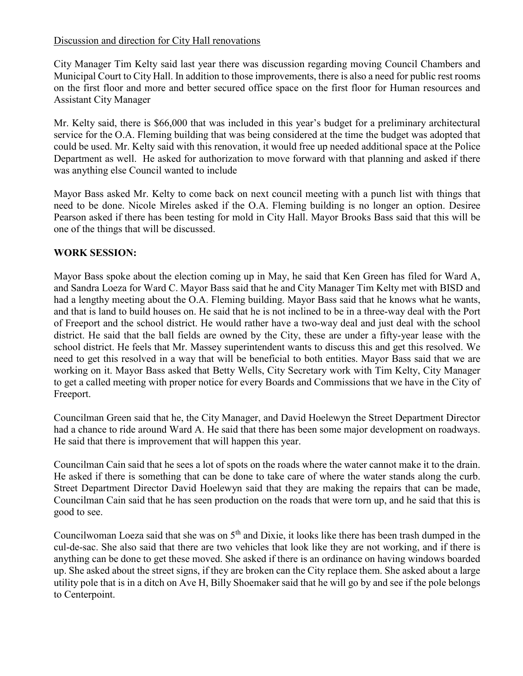## Discussion and direction for City Hall renovations

City Manager Tim Kelty said last year there was discussion regarding moving Council Chambers and Municipal Court to City Hall. In addition to those improvements, there is also a need for public rest rooms on the first floor and more and better secured office space on the first floor for Human resources and Assistant City Manager

Mr. Kelty said, there is \$66,000 that was included in this year's budget for a preliminary architectural service for the O.A. Fleming building that was being considered at the time the budget was adopted that could be used. Mr. Kelty said with this renovation, it would free up needed additional space at the Police Department as well. He asked for authorization to move forward with that planning and asked if there was anything else Council wanted to include

Mayor Bass asked Mr. Kelty to come back on next council meeting with a punch list with things that need to be done. Nicole Mireles asked if the O.A. Fleming building is no longer an option. Desiree Pearson asked if there has been testing for mold in City Hall. Mayor Brooks Bass said that this will be one of the things that will be discussed.

## **WORK SESSION:**

Mayor Bass spoke about the election coming up in May, he said that Ken Green has filed for Ward A, and Sandra Loeza for Ward C. Mayor Bass said that he and City Manager Tim Kelty met with BISD and had a lengthy meeting about the O.A. Fleming building. Mayor Bass said that he knows what he wants, and that is land to build houses on. He said that he is not inclined to be in a three-way deal with the Port of Freeport and the school district. He would rather have a two-way deal and just deal with the school district. He said that the ball fields are owned by the City, these are under a fifty-year lease with the school district. He feels that Mr. Massey superintendent wants to discuss this and get this resolved. We need to get this resolved in a way that will be beneficial to both entities. Mayor Bass said that we are working on it. Mayor Bass asked that Betty Wells, City Secretary work with Tim Kelty, City Manager to get a called meeting with proper notice for every Boards and Commissions that we have in the City of Freeport.

Councilman Green said that he, the City Manager, and David Hoelewyn the Street Department Director had a chance to ride around Ward A. He said that there has been some major development on roadways. He said that there is improvement that will happen this year.

Councilman Cain said that he sees a lot of spots on the roads where the water cannot make it to the drain. He asked if there is something that can be done to take care of where the water stands along the curb. Street Department Director David Hoelewyn said that they are making the repairs that can be made, Councilman Cain said that he has seen production on the roads that were torn up, and he said that this is good to see.

Councilwoman Loeza said that she was on 5<sup>th</sup> and Dixie, it looks like there has been trash dumped in the cul-de-sac. She also said that there are two vehicles that look like they are not working, and if there is anything can be done to get these moved. She asked if there is an ordinance on having windows boarded up. She asked about the street signs, if they are broken can the City replace them. She asked about a large utility pole that is in a ditch on Ave H, Billy Shoemaker said that he will go by and see if the pole belongs to Centerpoint.